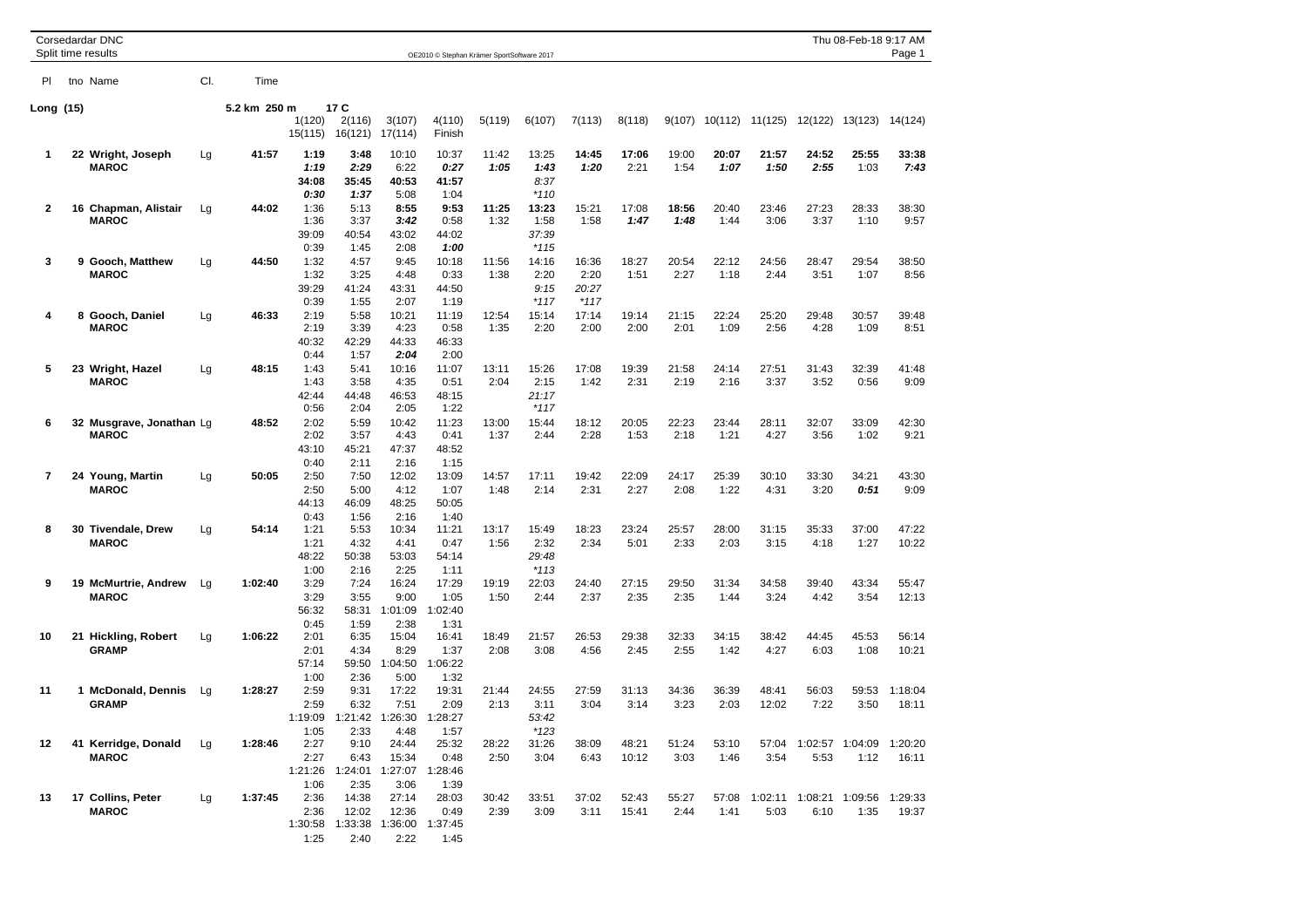| Corsedardar DNC<br>Split time results<br>OE2010 © Stephan Krämer SportSoftware 2017 |  |                                          |     |              |                                         |                                                           |                                   |                                  |               |                                  | Thu 08-Feb-18 9:17 AM<br>Page 1  |                |               |               |                 |               |                         |                  |
|-------------------------------------------------------------------------------------|--|------------------------------------------|-----|--------------|-----------------------------------------|-----------------------------------------------------------|-----------------------------------|----------------------------------|---------------|----------------------------------|----------------------------------|----------------|---------------|---------------|-----------------|---------------|-------------------------|------------------|
| PI                                                                                  |  | tno Name                                 | CI. | Time         |                                         |                                                           |                                   |                                  |               |                                  |                                  |                |               |               |                 |               |                         |                  |
| Long (15)                                                                           |  |                                          |     | 5.2 km 250 m | 1(120)<br>15(115)                       | 17 C<br>2(116)<br>16(121)                                 | 3(107)<br>17(114)                 | 4(110)<br>Finish                 | 5(119)        | 6(107)                           | 7(113)                           | 8(118)         | 9(107)        | 10(112)       | 11(125)         | 12(122)       | 13(123)                 | 14(124)          |
| 1                                                                                   |  | 22 Wright, Joseph<br><b>MAROC</b>        | Lg  | 41:57        | 1:19<br>1:19<br>34:08<br>0:30           | 3:48<br>2:29<br>35:45<br>1:37                             | 10:10<br>6:22<br>40:53<br>5:08    | 10:37<br>0:27<br>41:57<br>1:04   | 11:42<br>1:05 | 13:25<br>1:43<br>8:37<br>$*110$  | 14:45<br>1:20                    | 17:06<br>2:21  | 19:00<br>1:54 | 20:07<br>1:07 | 21:57<br>1:50   | 24:52<br>2:55 | 25:55<br>1:03           | 33:38<br>7:43    |
| $\mathbf{2}$                                                                        |  | 16 Chapman, Alistair<br><b>MAROC</b>     | Lg  | 44:02        | 1:36<br>1:36<br>39:09<br>0:39           | 5:13<br>3:37<br>40:54<br>1:45                             | 8:55<br>3.42<br>43:02<br>2:08     | 9:53<br>0:58<br>44:02<br>1:00    | 11:25<br>1:32 | 13:23<br>1:58<br>37:39<br>$*115$ | 15:21<br>1:58                    | 17:08<br>1:47  | 18:56<br>1:48 | 20:40<br>1:44 | 23:46<br>3:06   | 27:23<br>3:37 | 28:33<br>1:10           | 38:30<br>9:57    |
| 3                                                                                   |  | 9 Gooch, Matthew<br><b>MAROC</b>         | Lg  | 44:50        | 1:32<br>1:32<br>39:29<br>0:39           | 4:57<br>3:25<br>41:24<br>1:55                             | 9:45<br>4:48<br>43:31<br>2:07     | 10:18<br>0:33<br>44:50<br>1:19   | 11:56<br>1:38 | 14:16<br>2:20<br>9:15<br>$*117$  | 16:36<br>2:20<br>20:27<br>$*117$ | 18:27<br>1:51  | 20:54<br>2:27 | 22:12<br>1:18 | 24:56<br>2:44   | 28:47<br>3:51 | 29:54<br>1:07           | 38:50<br>8:56    |
| 4                                                                                   |  | 8 Gooch, Daniel<br><b>MAROC</b>          | Lg  | 46:33        | 2:19<br>2:19<br>40:32<br>0:44           | 5:58<br>3:39<br>42:29<br>1:57                             | 10:21<br>4:23<br>44:33<br>2:04    | 11:19<br>0:58<br>46:33<br>2:00   | 12:54<br>1:35 | 15:14<br>2:20                    | 17:14<br>2:00                    | 19:14<br>2:00  | 21:15<br>2:01 | 22:24<br>1:09 | 25:20<br>2:56   | 29:48<br>4:28 | 30:57<br>1:09           | 39:48<br>8:51    |
| 5                                                                                   |  | 23 Wright, Hazel<br><b>MAROC</b>         | Lg  | 48:15        | 1:43<br>1:43<br>42:44<br>0:56           | 5:41<br>3:58<br>44:48<br>2:04                             | 10:16<br>4:35<br>46:53<br>2:05    | 11:07<br>0:51<br>48:15<br>1:22   | 13:11<br>2:04 | 15:26<br>2:15<br>21:17<br>$*117$ | 17:08<br>1:42                    | 19:39<br>2:31  | 21:58<br>2:19 | 24:14<br>2:16 | 27:51<br>3:37   | 31:43<br>3:52 | 32:39<br>0:56           | 41:48<br>9:09    |
| 6                                                                                   |  | 32 Musgrave, Jonathan Lg<br><b>MAROC</b> |     | 48:52        | 2:02<br>2:02<br>43:10                   | 5:59<br>3:57<br>45:21                                     | 10:42<br>4:43<br>47:37            | 11:23<br>0:41<br>48:52           | 13:00<br>1:37 | 15:44<br>2:44                    | 18:12<br>2:28                    | 20:05<br>1:53  | 22:23<br>2:18 | 23:44<br>1:21 | 28:11<br>4:27   | 32:07<br>3:56 | 33:09<br>1:02           | 42:30<br>9:21    |
| 7                                                                                   |  | 24 Young, Martin<br><b>MAROC</b>         | Lg  | 50:05        | 0:40<br>2:50<br>2:50<br>44:13           | 2:11<br>7:50<br>5:00<br>46:09                             | 2:16<br>12:02<br>4:12<br>48:25    | 1:15<br>13:09<br>1:07<br>50:05   | 14:57<br>1:48 | 17:11<br>2:14                    | 19:42<br>2:31                    | 22:09<br>2:27  | 24:17<br>2:08 | 25:39<br>1:22 | 30:10<br>4:31   | 33:30<br>3:20 | 34:21<br>0:51           | 43:30<br>9:09    |
| 8                                                                                   |  | 30 Tivendale, Drew<br><b>MAROC</b>       | Lg  | 54:14        | 0:43<br>1:21<br>1:21<br>48:22           | 1:56<br>5:53<br>4:32<br>50:38                             | 2:16<br>10:34<br>4:41<br>53:03    | 1:40<br>11:21<br>0:47<br>54:14   | 13:17<br>1:56 | 15:49<br>2:32<br>29:48           | 18:23<br>2:34                    | 23:24<br>5:01  | 25:57<br>2:33 | 28:00<br>2:03 | 31:15<br>3:15   | 35:33<br>4:18 | 37:00<br>1:27           | 47:22<br>10:22   |
| 9                                                                                   |  | 19 McMurtrie, Andrew<br><b>MAROC</b>     | Lg  | 1:02:40      | 1:00<br>3:29<br>3:29<br>56:32           | 2:16<br>7:24<br>3:55<br>58:31                             | 2:25<br>16:24<br>9:00<br>1:01:09  | 1:11<br>17:29<br>1:05<br>1:02:40 | 19:19<br>1:50 | $*113$<br>22:03<br>2:44          | 24:40<br>2:37                    | 27:15<br>2:35  | 29:50<br>2:35 | 31:34<br>1:44 | 34:58<br>3:24   | 39:40<br>4:42 | 43:34<br>3:54           | 55:47<br>12:13   |
| 10                                                                                  |  | 21 Hickling, Robert<br><b>GRAMP</b>      | Lg  | 1:06:22      | 0:45<br>2:01<br>2:01<br>57:14           | 1:59<br>6:35<br>4:34<br>59:50                             | 2:38<br>15:04<br>8:29<br>1:04:50  | 1:31<br>16:41<br>1:37<br>1:06:22 | 18:49<br>2:08 | 21:57<br>3:08                    | 26:53<br>4:56                    | 29:38<br>2:45  | 32:33<br>2:55 | 34:15<br>1:42 | 38:42<br>4:27   | 44:45<br>6:03 | 45:53<br>1:08           | 56:14<br>10:21   |
| 11                                                                                  |  | 1 McDonald, Dennis<br><b>GRAMP</b>       | Lg  | 1:28:27      | 1:00<br>2:59<br>2:59<br>1:19:09         | 2:36<br>9:31<br>6:32<br>1:21:42                           | 5:00<br>17:22<br>7:51<br>1:26:30  | 1:32<br>19:31<br>2:09<br>1:28:27 | 21:44<br>2:13 | 24:55<br>3:11<br>53:42           | 27:59<br>3:04                    | 31:13<br>3:14  | 34:36<br>3:23 | 36:39<br>2:03 | 48:41<br>12:02  | 56:03<br>7:22 | 59:53<br>3:50           | 1:18:04<br>18:11 |
| 12                                                                                  |  | 41 Kerridge, Donald<br><b>MAROC</b>      | Lg  | 1:28:46      | 1:05<br>2:27<br>2:27<br>1:21:26         | 2:33<br>9:10<br>6:43<br>1:24:01                           | 4:48<br>24:44<br>15:34<br>1:27:07 | 1:57<br>25:32<br>0:48<br>1:28:46 | 28:22<br>2:50 | $*123$<br>31:26<br>3:04          | 38:09<br>6:43                    | 48:21<br>10:12 | 51:24<br>3:03 | 53:10<br>1:46 | 57:04<br>3:54   | 5:53          | 1:02:57 1:04:09<br>1:12 | 1:20:20<br>16:11 |
| 13                                                                                  |  | 17 Collins, Peter<br><b>MAROC</b>        | Lg  | 1:37:45      | 1:06<br>2:36<br>2:36<br>1:30:58<br>1:25 | 2:35<br>14:38<br>12:02<br>1:33:38 1:36:00 1:37:45<br>2:40 | 3:06<br>27:14<br>12:36<br>2:22    | 1:39<br>28:03<br>0:49<br>1:45    | 30:42<br>2:39 | 33:51<br>3:09                    | 37:02<br>3:11                    | 52:43<br>15:41 | 55:27<br>2:44 | 57:08<br>1:41 | 1:02:11<br>5:03 | 6:10          | 1:08:21 1:09:56<br>1:35 | 1:29:33<br>19:37 |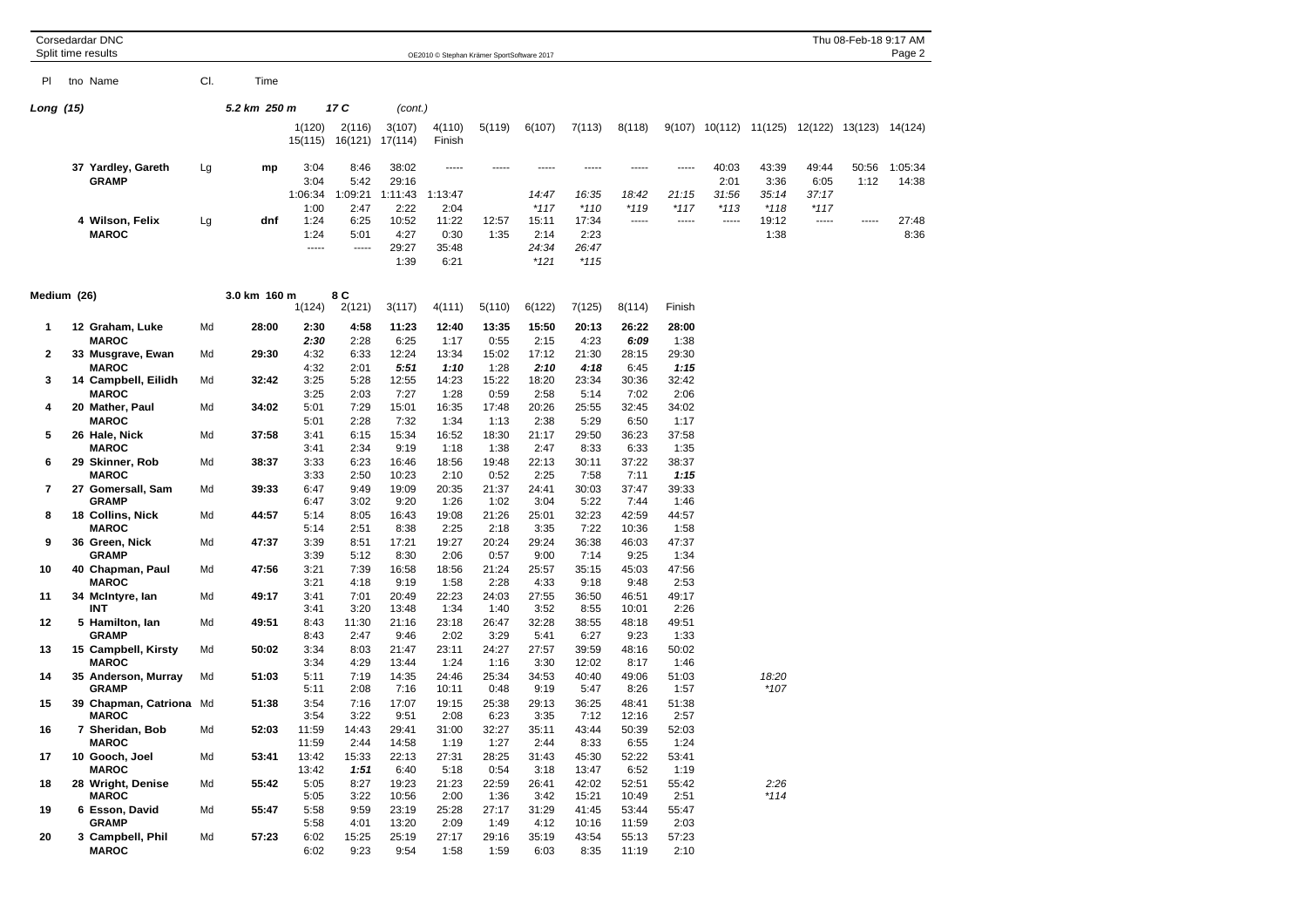|             | Split time results                      | Thu 08-Feb-18 9:17 AM<br>OE2010 © Stephan Krämer SportSoftware 2017 |              |                   |                   |                   |                  |               |                 |                 |                 | Page 2          |                 |                                                |                 |       |         |
|-------------|-----------------------------------------|---------------------------------------------------------------------|--------------|-------------------|-------------------|-------------------|------------------|---------------|-----------------|-----------------|-----------------|-----------------|-----------------|------------------------------------------------|-----------------|-------|---------|
| PL          | tno Name                                | CI.                                                                 | Time         |                   |                   |                   |                  |               |                 |                 |                 |                 |                 |                                                |                 |       |         |
|             |                                         |                                                                     |              |                   |                   |                   |                  |               |                 |                 |                 |                 |                 |                                                |                 |       |         |
| Long (15)   |                                         |                                                                     | 5.2 km 250 m |                   | 17 C              | (cont.)           |                  |               |                 |                 |                 |                 |                 |                                                |                 |       |         |
|             |                                         |                                                                     |              | 1(120)<br>15(115) | 2(116)<br>16(121) | 3(107)<br>17(114) | 4(110)<br>Finish | 5(119)        | 6(107)          | 7(113)          | 8(118)          |                 |                 | 9(107) 10(112) 11(125) 12(122) 13(123) 14(124) |                 |       |         |
|             | 37 Yardley, Gareth                      | Lg                                                                  | mp           | 3:04              | 8:46              | 38:02             | -----            |               |                 |                 | -----           | -----           | 40:03           | 43:39                                          | 49:44           | 50:56 | 1:05:34 |
|             | <b>GRAMP</b>                            |                                                                     |              | 3:04              | 5:42              | 29:16             |                  |               |                 |                 |                 |                 | 2:01            | 3:36                                           | 6:05            | 1:12  | 14:38   |
|             |                                         |                                                                     |              | 1:06:34<br>1:00   | 1:09:21<br>2:47   | 1:11:43<br>2:22   | 1:13:47<br>2:04  |               | 14:47<br>$*117$ | 16:35<br>$*110$ | 18:42<br>$*119$ | 21:15<br>$*117$ | 31:56<br>$*113$ | 35:14<br>$*118$                                | 37:17<br>$*117$ |       |         |
|             | 4 Wilson, Felix                         | Lg                                                                  | dnf          | 1:24              | 6:25              | 10:52             | 11:22            | 12:57         | 15:11           | 17:34           | -----           | -----           | -----           | 19:12                                          | -----           | ----- | 27:48   |
|             | <b>MAROC</b>                            |                                                                     |              | 1:24              | 5:01              | 4:27              | 0:30             | 1:35          | 2:14            | 2:23            |                 |                 |                 | 1:38                                           |                 |       | 8:36    |
|             |                                         |                                                                     |              | -----             | -----             | 29:27             | 35:48            |               | 24:34           | 26:47           |                 |                 |                 |                                                |                 |       |         |
|             |                                         |                                                                     |              |                   |                   | 1:39              | 6:21             |               | $*121$          | $*115$          |                 |                 |                 |                                                |                 |       |         |
| Medium (26) |                                         |                                                                     | 3.0 km 160 m |                   | 8 C               |                   |                  |               |                 |                 |                 |                 |                 |                                                |                 |       |         |
|             |                                         |                                                                     |              | 1(124)            | 2(121)            | 3(117)            | 4(111)           | 5(110)        | 6(122)          | 7(125)          | 8(114)          | Finish          |                 |                                                |                 |       |         |
| 1           | 12 Graham, Luke                         | Md                                                                  | 28:00        | 2:30              | 4:58              | 11:23             | 12:40            | 13:35         | 15:50           | 20:13           | 26:22           | 28:00           |                 |                                                |                 |       |         |
| 2           | <b>MAROC</b><br>33 Musgrave, Ewan       | Md                                                                  | 29:30        | 2:30<br>4:32      | 2:28<br>6:33      | 6:25<br>12:24     | 1:17<br>13:34    | 0:55<br>15:02 | 2:15<br>17:12   | 4:23<br>21:30   | 6:09<br>28:15   | 1:38<br>29:30   |                 |                                                |                 |       |         |
|             | <b>MAROC</b>                            |                                                                     |              | 4:32              | 2:01              | 5:51              | 1:10             | 1:28          | 2:10            | 4:18            | 6:45            | 1:15            |                 |                                                |                 |       |         |
| 3           | 14 Campbell, Eilidh                     | Md                                                                  | 32:42        | 3:25              | 5:28              | 12:55             | 14:23            | 15:22         | 18:20           | 23:34           | 30:36           | 32:42           |                 |                                                |                 |       |         |
| 4           | <b>MAROC</b>                            |                                                                     |              | 3:25              | 2:03              | 7:27              | 1:28             | 0:59          | 2:58            | 5:14            | 7:02            | 2:06            |                 |                                                |                 |       |         |
|             | 20 Mather, Paul<br><b>MAROC</b>         | Md                                                                  | 34:02        | 5:01<br>5:01      | 7:29              | 15:01             | 16:35            | 17:48         | 20:26           | 25:55           | 32:45           | 34:02           |                 |                                                |                 |       |         |
| 5           | 26 Hale, Nick                           | Md                                                                  | 37:58        | 3:41              | 2:28<br>6:15      | 7:32<br>15:34     | 1:34<br>16:52    | 1:13<br>18:30 | 2:38<br>21:17   | 5:29<br>29:50   | 6:50<br>36:23   | 1:17<br>37:58   |                 |                                                |                 |       |         |
|             | <b>MAROC</b>                            |                                                                     |              | 3:41              | 2:34              | 9:19              | 1:18             | 1:38          | 2:47            | 8:33            | 6:33            | 1:35            |                 |                                                |                 |       |         |
| 6           | 29 Skinner, Rob                         | Md                                                                  | 38:37        | 3:33              | 6:23              | 16:46             | 18:56            | 19:48         | 22:13           | 30:11           | 37:22           | 38:37           |                 |                                                |                 |       |         |
|             | <b>MAROC</b>                            |                                                                     |              | 3:33              | 2:50              | 10:23             | 2:10             | 0:52          | 2:25            | 7:58            | 7:11            | 1:15            |                 |                                                |                 |       |         |
| 7           | 27 Gomersall, Sam<br><b>GRAMP</b>       | Md                                                                  | 39:33        | 6:47<br>6:47      | 9:49<br>3:02      | 19:09<br>9:20     | 20:35<br>1:26    | 21:37<br>1:02 | 24:41<br>3:04   | 30:03<br>5:22   | 37:47<br>7:44   | 39:33<br>1:46   |                 |                                                |                 |       |         |
| 8           | 18 Collins, Nick                        | Md                                                                  | 44:57        | 5:14              | 8:05              | 16:43             | 19:08            | 21:26         | 25:01           | 32:23           | 42:59           | 44:57           |                 |                                                |                 |       |         |
|             | <b>MAROC</b>                            |                                                                     |              | 5:14              | 2:51              | 8:38              | 2:25             | 2:18          | 3:35            | 7:22            | 10:36           | 1:58            |                 |                                                |                 |       |         |
| 9           | 36 Green, Nick                          | Md                                                                  | 47:37        | 3:39              | 8:51              | 17:21             | 19:27            | 20:24         | 29:24           | 36:38           | 46:03           | 47:37           |                 |                                                |                 |       |         |
| 10          | <b>GRAMP</b><br>40 Chapman, Paul        | Md                                                                  | 47:56        | 3:39<br>3:21      | 5:12<br>7:39      | 8:30<br>16:58     | 2:06<br>18:56    | 0:57<br>21:24 | 9:00<br>25:57   | 7:14<br>35:15   | 9:25<br>45:03   | 1:34<br>47:56   |                 |                                                |                 |       |         |
|             | <b>MAROC</b>                            |                                                                     |              | 3:21              | 4:18              | 9:19              | 1:58             | 2:28          | 4:33            | 9:18            | 9:48            | 2:53            |                 |                                                |                 |       |         |
| 11          | 34 McIntyre, Ian                        | Md                                                                  | 49:17        | 3:41              | 7:01              | 20:49             | 22:23            | 24:03         | 27:55           | 36:50           | 46:51           | 49:17           |                 |                                                |                 |       |         |
|             | INT                                     |                                                                     |              | 3:41              | 3:20              | 13:48             | 1:34             | 1:40          | 3:52            | 8:55            | 10:01           | 2:26            |                 |                                                |                 |       |         |
| 12          | 5 Hamilton, lan<br><b>GRAMP</b>         | Md                                                                  | 49:51        | 8:43<br>8:43      | 11:30<br>2:47     | 21:16<br>9:46     | 23:18<br>2:02    | 26:47<br>3:29 | 32:28<br>5:41   | 38:55<br>6:27   | 48:18<br>9:23   | 49:51<br>1:33   |                 |                                                |                 |       |         |
| 13          | 15 Campbell, Kirsty                     | Md                                                                  | 50:02        | 3:34              | 8:03              | 21:47             | 23:11            | 24:27         | 27:57           | 39:59           | 48:16           | 50:02           |                 |                                                |                 |       |         |
|             | <b>MAROC</b>                            |                                                                     |              | 3:34              | 4:29              | 13:44             | 1:24             | 1:16          | 3:30            | 12:02           | 8:17            | 1:46            |                 |                                                |                 |       |         |
| 14          | 35 Anderson, Murray                     | Md                                                                  | 51:03        | 5:11              | 7:19              | 14:35             | 24:46            | 25:34         | 34:53           | 40:40           | 49:06           | 51:03           |                 | 18:20                                          |                 |       |         |
| 15          | <b>GRAMP</b><br>39 Chapman, Catriona Md |                                                                     | 51:38        | 5:11<br>3:54      | 2:08<br>7:16      | 7:16<br>17:07     | 10:11<br>19:15   | 0:48<br>25:38 | 9:19<br>29:13   | 5:47<br>36:25   | 8:26<br>48:41   | 1:57<br>51:38   |                 | $*107$                                         |                 |       |         |
|             | <b>MAROC</b>                            |                                                                     |              | 3:54              | 3:22              | 9:51              | 2:08             | 6:23          | 3:35            | 7:12            | 12:16           | 2:57            |                 |                                                |                 |       |         |
| 16          | 7 Sheridan, Bob                         | Md                                                                  | 52:03        | 11:59             | 14:43             | 29:41             | 31:00            | 32:27         | 35:11           | 43:44           | 50:39           | 52:03           |                 |                                                |                 |       |         |
|             | <b>MAROC</b>                            |                                                                     |              | 11:59             | 2:44              | 14:58             | 1:19             | 1:27          | 2:44            | 8:33            | 6:55            | 1:24            |                 |                                                |                 |       |         |
| 17          | 10 Gooch, Joel<br><b>MAROC</b>          | Md                                                                  | 53:41        | 13:42<br>13:42    | 15:33<br>1:51     | 22:13             | 27:31            | 28:25         | 31:43           | 45:30           | 52:22<br>6:52   | 53:41           |                 |                                                |                 |       |         |
| 18          | 28 Wright, Denise                       | Md                                                                  | 55:42        | 5:05              | 8:27              | 6:40<br>19:23     | 5:18<br>21:23    | 0:54<br>22:59 | 3:18<br>26:41   | 13:47<br>42:02  | 52:51           | 1:19<br>55:42   |                 | 2:26                                           |                 |       |         |
|             | <b>MAROC</b>                            |                                                                     |              | 5:05              | 3:22              | 10:56             | 2:00             | 1:36          | 3:42            | 15:21           | 10:49           | 2:51            |                 | $*114$                                         |                 |       |         |
| 19          | 6 Esson, David                          | Md                                                                  | 55:47        | 5:58              | 9:59              | 23:19             | 25:28            | 27:17         | 31:29           | 41:45           | 53:44           | 55:47           |                 |                                                |                 |       |         |
| 20          | <b>GRAMP</b><br>3 Campbell, Phil        | Md                                                                  | 57:23        | 5:58<br>6:02      | 4:01<br>15:25     | 13:20<br>25:19    | 2:09<br>27:17    | 1:49<br>29:16 | 4:12<br>35:19   | 10:16<br>43:54  | 11:59<br>55:13  | 2:03<br>57:23   |                 |                                                |                 |       |         |
|             | <b>MAROC</b>                            |                                                                     |              | 6:02              | 9:23              | 9:54              | 1:58             | 1:59          | 6:03            | 8:35            | 11:19           | 2:10            |                 |                                                |                 |       |         |